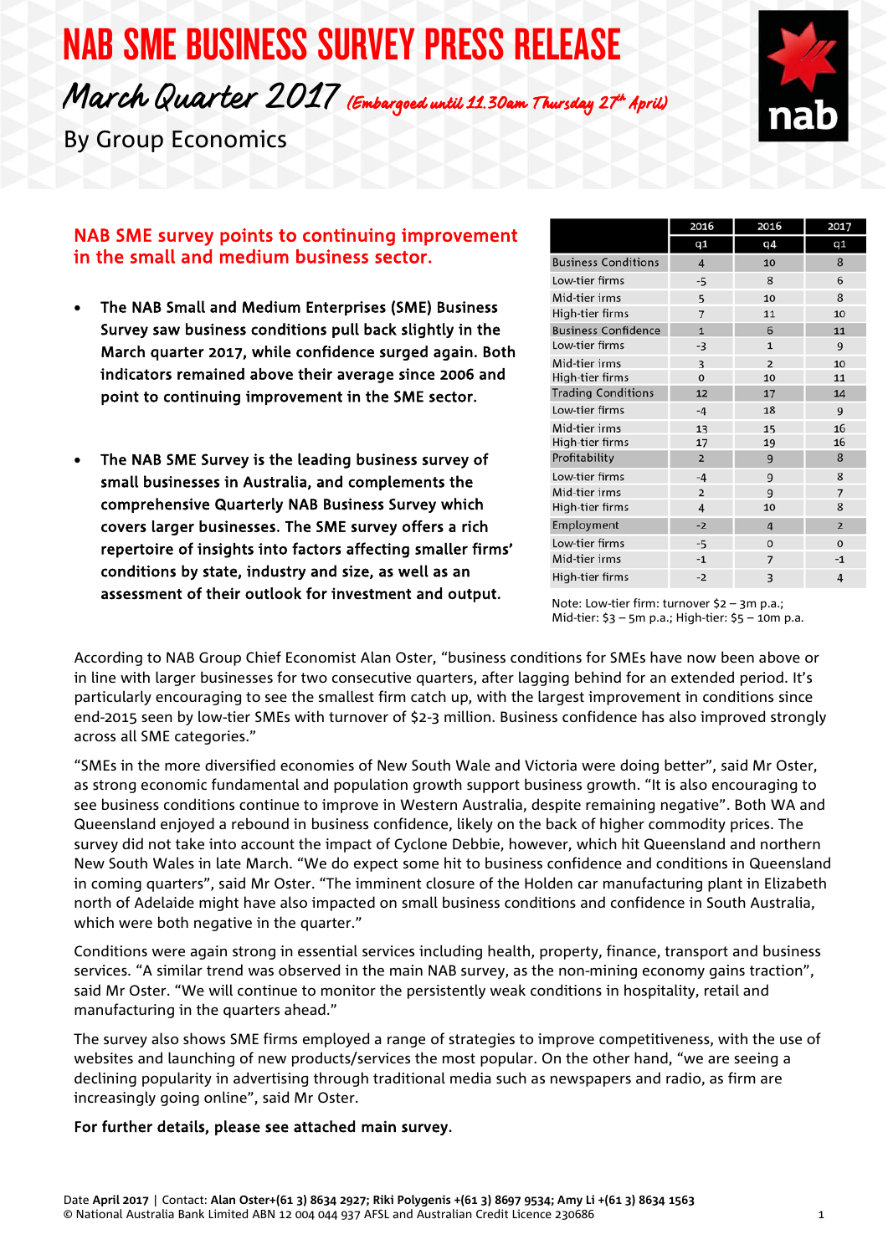# NAB SME BUSINESS SURVEY PRESS RELEASE March Quarter 2017 (Embargoed until 11.30am Thursday 27th April)



By Group Economics

# in the small and medium business sector. NAB SME survey points to continuing improvement

- • The NAB Small and Medium Enterprises (SME) Business Survey saw business conditions pull back slightly in the March quarter 2017, while confidence surged again. Both indicators remained above their average since 2006 and point to continuing improvement in the SME sector.
- • The NAB SME Survey is the leading business survey of small businesses in Australia, and complements the comprehensive Quarterly NAB Business Survey which covers larger businesses. The SME survey offers a rich repertoire of insights into factors affecting smaller firms' conditions by state, industry and size, as well as an assessment of their outlook for investment and output.

|                            | 2016           | 2016           | 2017           |
|----------------------------|----------------|----------------|----------------|
|                            | q1             | q4             | q1             |
| <b>Business Conditions</b> | 4              | 10             | 8              |
| Low-tier firms             | -5             | 8              | 6              |
| Mid-tier irms              | 5              | 10             | 8              |
| High-tier firms            | $\overline{7}$ | 11             | 10             |
| <b>Business Confidence</b> | $\overline{1}$ | 6              | 11             |
| Low-tier firms             | -3             | $\mathbf{1}$   | 9              |
| Mid-tier irms              | 3              | $\overline{2}$ | 10             |
| High-tier firms            | $\Omega$       | 10             | 11             |
| <b>Trading Conditions</b>  | 12             | 17             | 14             |
| Low-tier firms             | $-4$           | 18             | 9              |
| Mid-tier irms              | 13             | 15             | 16             |
| High-tier firms            | 17             | 19             | 16             |
| Profitability              | $\overline{2}$ | 9              | 8              |
| Low-tier firms             | $-4$           | 9              | 8              |
| Mid-tier irms              | $\overline{2}$ | $\mathbf{q}$   | $\overline{7}$ |
| High-tier firms            | 4              | 10             | 8              |
| Employment                 | $-2$           | $\overline{4}$ | $\overline{2}$ |
| Low-tier firms             | $-5$           | $\mathbf 0$    | $\mathbf 0$    |
| Mid-tier irms              | $-1$           | 7              | $-1$           |
| High-tier firms            | $-2$           | 3              | $\overline{4}$ |

Note: Low-tier firm: turnover \$2 – 3m p.a.;<br>Mid-tier: \$3 – 5m p.a.; High-tier: \$5 – 10m p.a.<br>Mid-tier: \$3 – 5m p.a.; High-tier: \$5 – 10m p.a.

According to NAB Group Chief Economist Alan Oster, "business conditions for SMEs have now been above or in line with larger businesses for two consecutive quarters, after lagging behind for an extended period. It's particularly encouraging to see the smallest firm catch up, with the largest improvement in conditions since end-2015 seen by low-tier SMEs with turnover of \$2-3 million. Business confidence has also improved strongly across all SME categories."

"SMEs in the more diversified economies of New South Wale and Victoria were doing better", said Mr Oster, as strong economic fundamental and population growth support business growth. "It is also encouraging to see business conditions continue to improve in Western Australia, despite remaining negative". Both WA and Queensland enjoyed a rebound in business confidence, likely on the back of higher commodity prices. The survey did not take into account the impact of Cyclone Debbie, however, which hit Queensland and northern New South Wales in late March. "We do expect some hit to business confidence and conditions in Queensland in coming quarters", said Mr Oster. "The imminent closure of the Holden car manufacturing plant in Elizabeth north of Adelaide might have also impacted on small business conditions and confidence in South Australia, which were both negative in the quarter."

Conditions were again strong in essential services including health, property, finance, transport and business services. "A similar trend was observed in the main NAB survey, as the non-mining economy gains traction", said Mr Oster. "We will continue to monitor the persistently weak conditions in hospitality, retail and manufacturing in the quarters ahead."

The survey also shows SME firms employed a range of strategies to improve competitiveness, with the use of websites and launching of new products/services the most popular. On the other hand, "we are seeing a declining popularity in advertising through traditional media such as newspapers and radio, as firm are increasingly going online", said Mr Oster.

### For further details, please see attached main survey.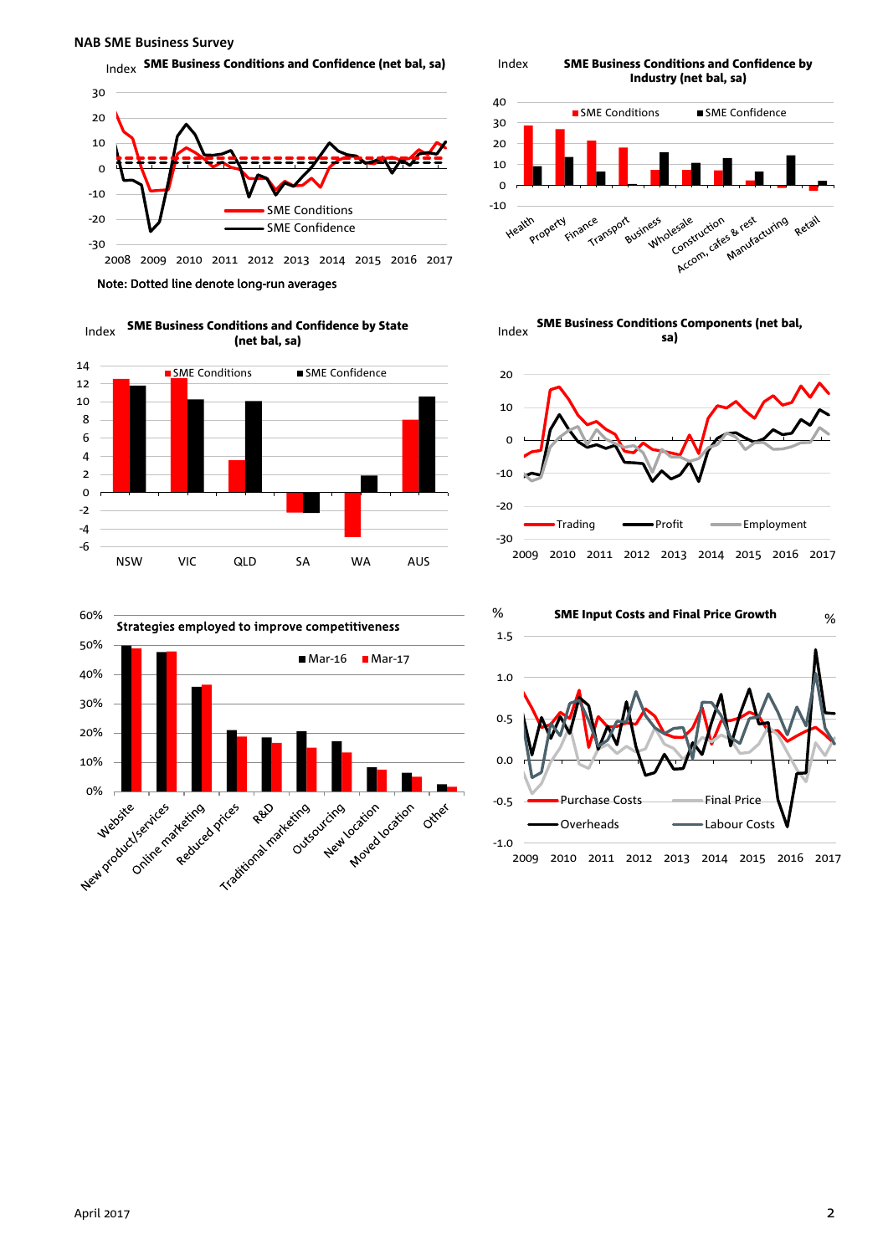#### **NAB SME Business Survey**

 $_{\text{Index}}$  SME Business Conditions and Confidence (net bal, sa)



Note: Dotted line denote long-run averages







Index SME Business Conditions and Confidence by







## Index SME Business Conditions and Confidence by State (net bal, sa)